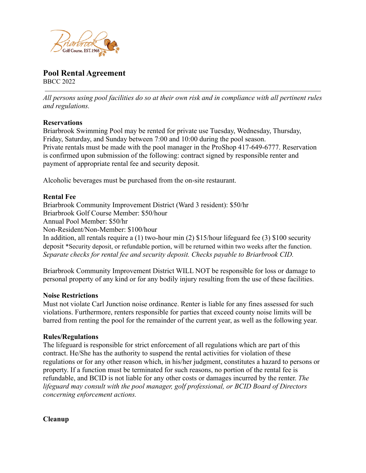

# **Pool Rental Agreement**

BBCC 2022

*All persons using pool facilities do so at their own risk and in compliance with all pertinent rules and regulations.*

## **Reservations**

Briarbrook Swimming Pool may be rented for private use Tuesday, Wednesday, Thursday, Friday, Saturday, and Sunday between 7:00 and 10:00 during the pool season. Private rentals must be made with the pool manager in the ProShop 417-649-6777. Reservation is confirmed upon submission of the following: contract signed by responsible renter and payment of appropriate rental fee and security deposit.

Alcoholic beverages must be purchased from the on-site restaurant.

## **Rental Fee**

Briarbrook Community Improvement District (Ward 3 resident): \$50/hr Briarbrook Golf Course Member: \$50/hour Annual Pool Member: \$50/hr Non-Resident/Non-Member: \$100/hour In addition, all rentals require a (1) two-hour min (2) \$15/hour lifeguard fee (3) \$100 security deposit \*Security deposit, or refundable portion, will be returned within two weeks after the function. *Separate checks for rental fee and security deposit. Checks payable to Briarbrook CID.*

Briarbrook Community Improvement District WILL NOT be responsible for loss or damage to personal property of any kind or for any bodily injury resulting from the use of these facilities.

#### **Noise Restrictions**

Must not violate Carl Junction noise ordinance. Renter is liable for any fines assessed for such violations. Furthermore, renters responsible for parties that exceed county noise limits will be barred from renting the pool for the remainder of the current year, as well as the following year.

#### **Rules/Regulations**

The lifeguard is responsible for strict enforcement of all regulations which are part of this contract. He/She has the authority to suspend the rental activities for violation of these regulations or for any other reason which, in his/her judgment, constitutes a hazard to persons or property. If a function must be terminated for such reasons, no portion of the rental fee is refundable, and BCID is not liable for any other costs or damages incurred by the renter. *The lifeguard may consult with the pool manager, golf professional, or BCID Board of Directors concerning enforcement actions.*

**Cleanup**